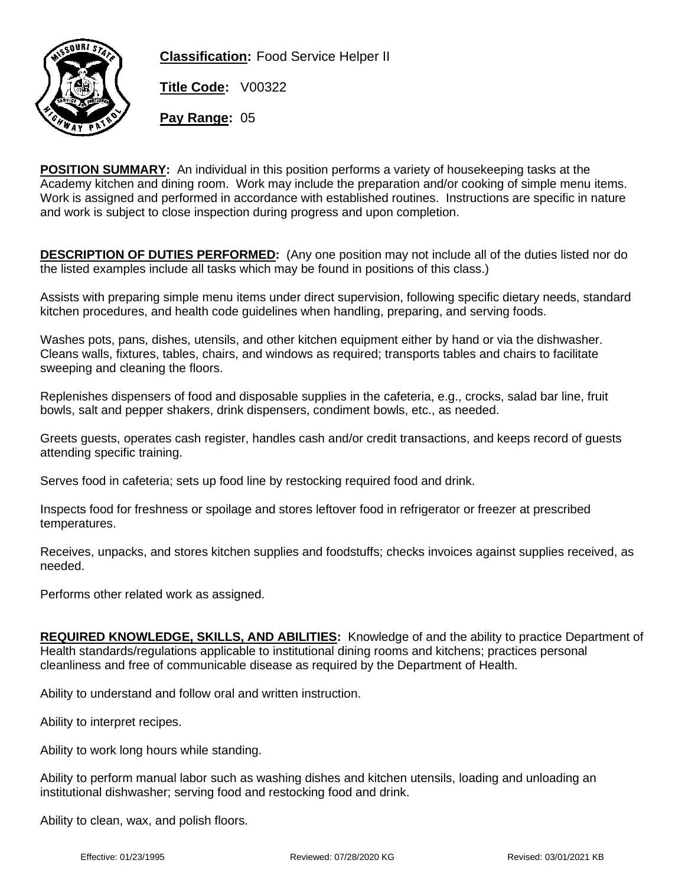

**Classification:** Food Service Helper II

**Title Code:** V00322

**Pay Range:** 05

**POSITION SUMMARY:** An individual in this position performs a variety of housekeeping tasks at the Academy kitchen and dining room. Work may include the preparation and/or cooking of simple menu items. Work is assigned and performed in accordance with established routines. Instructions are specific in nature and work is subject to close inspection during progress and upon completion.

**DESCRIPTION OF DUTIES PERFORMED:** (Any one position may not include all of the duties listed nor do the listed examples include all tasks which may be found in positions of this class.)

Assists with preparing simple menu items under direct supervision, following specific dietary needs, standard kitchen procedures, and health code guidelines when handling, preparing, and serving foods.

Washes pots, pans, dishes, utensils, and other kitchen equipment either by hand or via the dishwasher. Cleans walls, fixtures, tables, chairs, and windows as required; transports tables and chairs to facilitate sweeping and cleaning the floors.

Replenishes dispensers of food and disposable supplies in the cafeteria, e.g., crocks, salad bar line, fruit bowls, salt and pepper shakers, drink dispensers, condiment bowls, etc., as needed.

Greets guests, operates cash register, handles cash and/or credit transactions, and keeps record of guests attending specific training.

Serves food in cafeteria; sets up food line by restocking required food and drink.

Inspects food for freshness or spoilage and stores leftover food in refrigerator or freezer at prescribed temperatures.

Receives, unpacks, and stores kitchen supplies and foodstuffs; checks invoices against supplies received, as needed.

Performs other related work as assigned.

**REQUIRED KNOWLEDGE, SKILLS, AND ABILITIES:** Knowledge of and the ability to practice Department of Health standards/regulations applicable to institutional dining rooms and kitchens; practices personal cleanliness and free of communicable disease as required by the Department of Health.

Ability to understand and follow oral and written instruction.

Ability to interpret recipes.

Ability to work long hours while standing.

Ability to perform manual labor such as washing dishes and kitchen utensils, loading and unloading an institutional dishwasher; serving food and restocking food and drink.

Ability to clean, wax, and polish floors.